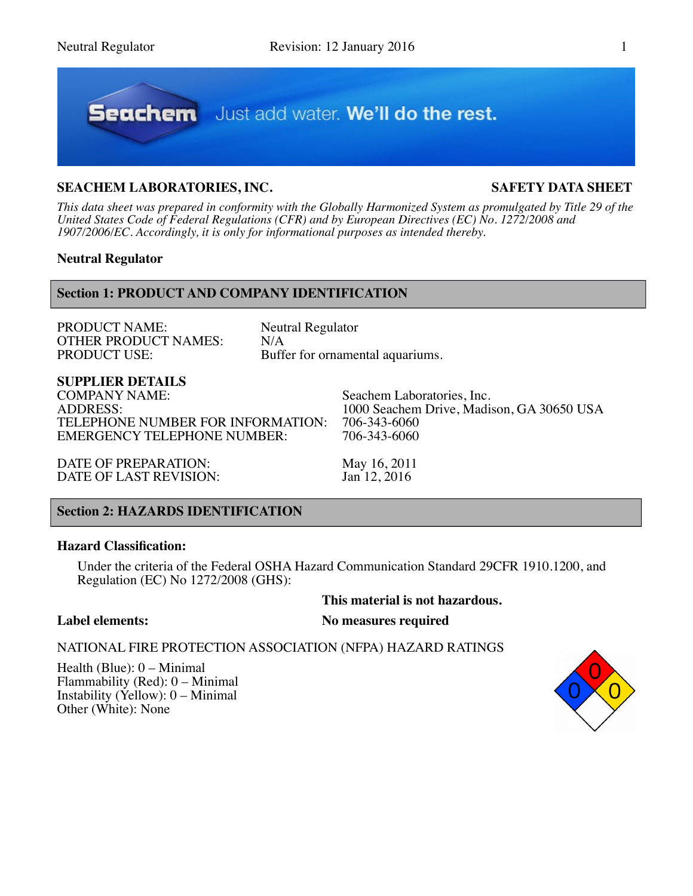

# **SEACHEM LABORATORIES, INC. SAFETY DATA SHEET**

*This data sheet was prepared in conformity with the Globally Harmonized System as promulgated by Title 29 of the United States Code of Federal Regulations (CFR) and by European Directives (EC) No. 1272/2008 and 1907/2006/EC. Accordingly, it is only for informational purposes as intended thereby.*

# **Neutral Regulator**

# **Section 1: PRODUCT AND COMPANY IDENTIFICATION**

PRODUCT NAME: Neutral Regulator<br>
OTHER PRODUCT NAMES: N/A OTHER PRODUCT NAMES:<br>PRODUCT USE:

Buffer for ornamental aquariums.

# **SUPPLIER DETAILS**

COMPANY NAME:<br>ADDRESS: Seachem Laboratories, Inc.<br>1000 Seachem Drive. Madi TELEPHONE NUMBER FOR INFORMATION: 706-343-6060<br>EMERGENCY TELEPHONE NUMBER: 706-343-6060 EMERGENCY TELEPHONE NUMBER:

1000 Seachem Drive, Madison, GA 30650 USA<br>706-343-6060

DATE OF PREPARATION: May 16, 2011<br>DATE OF LAST REVISION: Jan 12, 2016 DATE OF LAST REVISION:

# **Section 2: HAZARDS IDENTIFICATION**

#### **Hazard Classification:**

Under the criteria of the Federal OSHA Hazard Communication Standard 29CFR 1910.1200, and Regulation (EC) No 1272/2008 (GHS):

# **This material is not hazardous.**

# **Label elements: No measures required**

# NATIONAL FIRE PROTECTION ASSOCIATION (NFPA) HAZARD RATINGS

Health (Blue): 0 – Minimal Flammability (Red): 0 – Minimal Instability (Yellow): 0 – Minimal Other (White): None

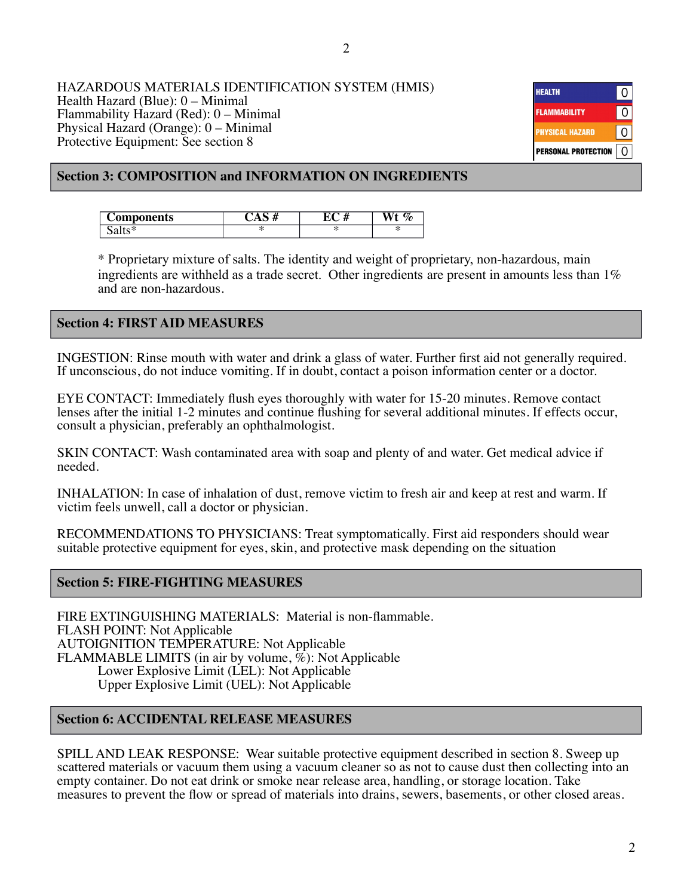#### HAZARDOUS MATERIALS IDENTIFICATION SYSTEM (HMIS) Health Hazard (Blue): 0 – Minimal Flammability Hazard (Red): 0 – Minimal Physical Hazard (Orange): 0 – Minimal Protective Equipment: See section 8

| <b>HEALTH</b>              |   |
|----------------------------|---|
| <b>FLAMMABILITY</b>        | O |
| <b>PHYSICAL HAZARD</b>     |   |
| <b>PERSONAL PROTECTION</b> |   |

# **Section 3: COMPOSITION and INFORMATION ON INGREDIENTS**

| <b>'omponents</b> | <br><br>71 | ∼<br>,,, |
|-------------------|------------|----------|
| $\cdots$          | - - -<br>æ |          |

\* Proprietary mixture of salts. The identity and weight of proprietary, non-hazardous, main ingredients are withheld as a trade secret. Other ingredients are present in amounts less than 1% and are non-hazardous.

# **Section 4: FIRST AID MEASURES**

INGESTION: Rinse mouth with water and drink a glass of water. Further first aid not generally required. If unconscious, do not induce vomiting. If in doubt, contact a poison information center or a doctor.

EYE CONTACT: Immediately flush eyes thoroughly with water for 15-20 minutes. Remove contact lenses after the initial 1-2 minutes and continue flushing for several additional minutes. If effects occur, consult a physician, preferably an ophthalmologist.

SKIN CONTACT: Wash contaminated area with soap and plenty of and water. Get medical advice if needed.

INHALATION: In case of inhalation of dust, remove victim to fresh air and keep at rest and warm. If victim feels unwell, call a doctor or physician.

RECOMMENDATIONS TO PHYSICIANS: Treat symptomatically. First aid responders should wear suitable protective equipment for eyes, skin, and protective mask depending on the situation

# **Section 5: FIRE-FIGHTING MEASURES**

FIRE EXTINGUISHING MATERIALS: Material is non-flammable. FLASH POINT: Not Applicable AUTOIGNITION TEMPERATURE: Not Applicable FLAMMABLE LIMITS (in air by volume, %): Not Applicable Lower Explosive Limit (LEL): Not Applicable Upper Explosive Limit (UEL): Not Applicable

# **Section 6: ACCIDENTAL RELEASE MEASURES**

SPILL AND LEAK RESPONSE: Wear suitable protective equipment described in section 8. Sweep up scattered materials or vacuum them using a vacuum cleaner so as not to cause dust then collecting into an empty container. Do not eat drink or smoke near release area, handling, or storage location. Take measures to prevent the flow or spread of materials into drains, sewers, basements, or other closed areas.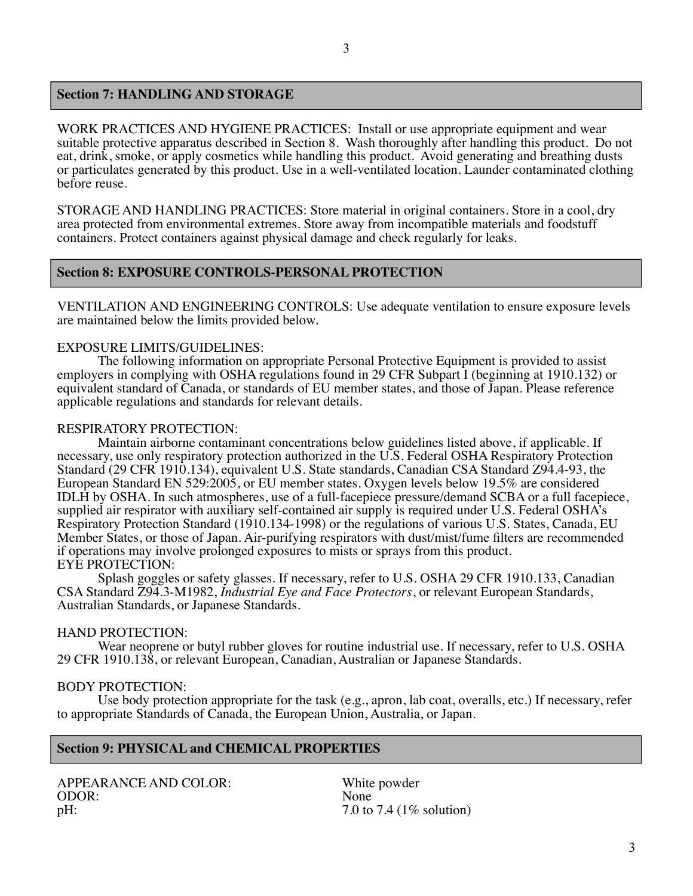# **Section 7: HANDLING AND STORAGE**

WORK PRACTICES AND HYGIENE PRACTICES: Install or use appropriate equipment and wear suitable protective apparatus described in Section 8. Wash thoroughly after handling this product. Do not eat, drink, smoke, or apply cosmetics while handling this product. Avoid generating and breathing dusts or particulates generated by this product. Use in a well-ventilated location. Launder contaminated clothing before reuse.

STORAGE AND HANDLING PRACTICES: Store material in original containers. Store in a cool, dry area protected from environmental extremes. Store away from incompatible materials and foodstuff containers. Protect containers against physical damage and check regularly for leaks.

#### **Section 8: EXPOSURE CONTROLS-PERSONAL PROTECTION**

VENTILATION AND ENGINEERING CONTROLS: Use adequate ventilation to ensure exposure levels are maintained below the limits provided below.

#### EXPOSURE LIMITS/GUIDELINES:

The following information on appropriate Personal Protective Equipment is provided to assist employers in complying with OSHA regulations found in 29 CFR Subpart I (beginning at 1910.132) or equivalent standard of Canada, or standards of EU member states, and those of Japan. Please reference applicable regulations and standards for relevant details.

#### RESPIRATORY PROTECTION:

Maintain airborne contaminant concentrations below guidelines listed above, if applicable. If necessary, use only respiratory protection authorized in the U.S. Federal OSHA Respiratory Protection Standard (29 CFR 1910.134), equivalent U.S. State standards, Canadian CSA Standard Z94.4-93, the European Standard EN 529:2005, or EU member states. Oxygen levels below 19.5% are considered IDLH by OSHA. In such atmospheres, use of a full-facepiece pressure/demand SCBA or a full facepiece, supplied air respirator with auxiliary self-contained air supply is required under U.S. Federal OSHA's Respiratory Protection Standard (1910.134-1998) or the regulations of various U.S. States, Canada, EU Member States, or those of Japan. Air-purifying respirators with dust/mist/fume filters are recommended if operations may involve prolonged exposures to mists or sprays from this product. EYE PROTECTION:

Splash goggles or safety glasses. If necessary, refer to U.S. OSHA 29 CFR 1910.133, Canadian CSA Standard Z94.3-M1982, *Industrial Eye and Face Protectors*, or relevant European Standards, Australian Standards, or Japanese Standards.

#### HAND PROTECTION:

Wear neoprene or butyl rubber gloves for routine industrial use. If necessary, refer to U.S. OSHA 29 CFR 1910.138, or relevant European, Canadian, Australian or Japanese Standards.

#### BODY PROTECTION:

Use body protection appropriate for the task (e.g., apron, lab coat, overalls, etc.) If necessary, refer to appropriate Standards of Canada, the European Union, Australia, or Japan.

#### **Section 9: PHYSICAL and CHEMICAL PROPERTIES**

APPEARANCE AND COLOR: White powder<br>ODOR: None ODOR: pH:  $7.0 \text{ to } 7.4 \text{ (1\% solution)}$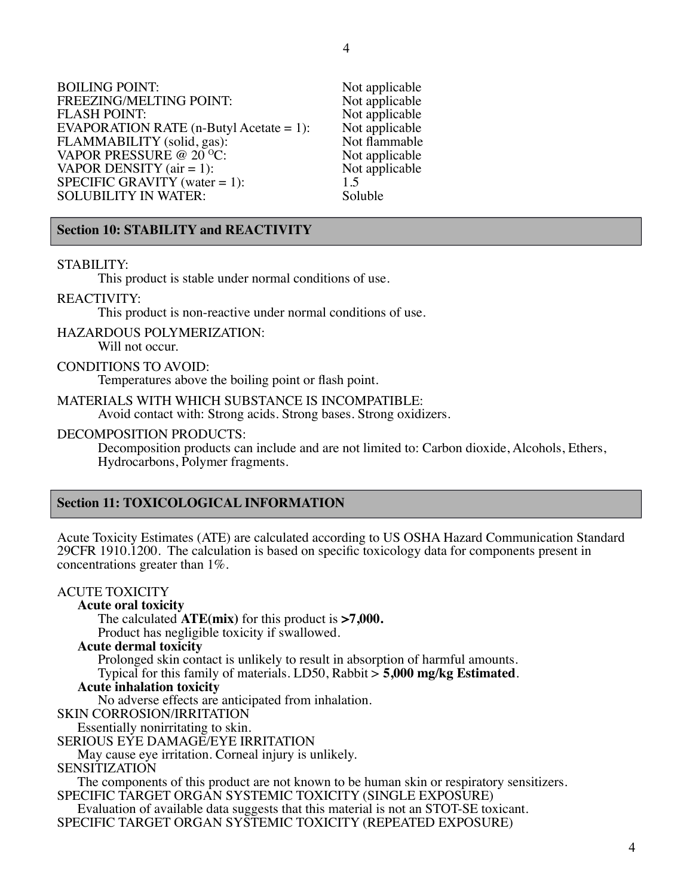Not applicable Not applicable Not applicable Not applicable Not flammable Not applicable Not applicable

| <b>BOILING POINT:</b>                                           | Not app             |
|-----------------------------------------------------------------|---------------------|
| FREEZING/MELTING POINT:<br>FLASH POINT:                         | Not app<br>Not app  |
| EVAPORATION RATE $(n-Buty1$ Acetate = 1):                       | Not app             |
| FLAMMABILITY (solid, gas):<br>VAPOR PRESSURE @ 20 °C:           | Not flar<br>Not app |
| VAPOR DENSITY $(air = 1)$ :                                     | Not app             |
| SPECIFIC GRAVITY (water $= 1$ ):<br><b>SOLUBILITY IN WATER:</b> | 1.5<br>Soluble      |
|                                                                 |                     |

# **Section 10: STABILITY and REACTIVITY**

### STABILITY:

This product is stable under normal conditions of use.

#### REACTIVITY:

This product is non-reactive under normal conditions of use.

# HAZARDOUS POLYMERIZATION:

Will not occur.

#### CONDITIONS TO AVOID:

Temperatures above the boiling point or flash point.

#### MATERIALS WITH WHICH SUBSTANCE IS INCOMPATIBLE:

Avoid contact with: Strong acids. Strong bases. Strong oxidizers.

#### DECOMPOSITION PRODUCTS:

Decomposition products can include and are not limited to: Carbon dioxide, Alcohols, Ethers, Hydrocarbons, Polymer fragments.

# **Section 11: TOXICOLOGICAL INFORMATION**

Acute Toxicity Estimates (ATE) are calculated according to US OSHA Hazard Communication Standard 29CFR 1910.1200. The calculation is based on specific toxicology data for components present in concentrations greater than 1%.

# ACUTE TOXICITY

**Acute oral toxicity** 

The calculated **ATE(mix)** for this product is **>7,000.**

Product has negligible toxicity if swallowed.

### **Acute dermal toxicity**

Prolonged skin contact is unlikely to result in absorption of harmful amounts. Typical for this family of materials. LD50, Rabbit > **5,000 mg/kg Estimated**.

#### **Acute inhalation toxicity**

No adverse effects are anticipated from inhalation.

SKIN CORROSION/IRRITATION

Essentially nonirritating to skin.

SERIOUS EYE DAMAGE/EYE IRRITATION

May cause eye irritation. Corneal injury is unlikely.

#### SENSITIZATION

The components of this product are not known to be human skin or respiratory sensitizers. SPECIFIC TARGET ORGAN SYSTEMIC TOXICITY (SINGLE EXPOSURE)

Evaluation of available data suggests that this material is not an STOT-SE toxicant. SPECIFIC TARGET ORGAN SYSTEMIC TOXICITY (REPEATED EXPOSURE)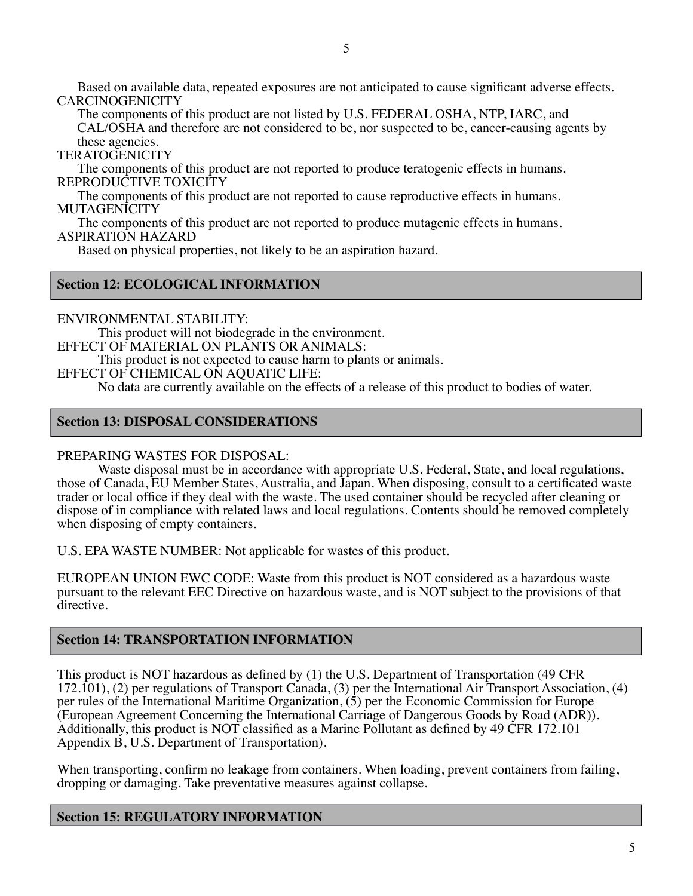Based on available data, repeated exposures are not anticipated to cause significant adverse effects. **CARCINOGENICITY** 

The components of this product are not listed by U.S. FEDERAL OSHA, NTP, IARC, and CAL/OSHA and therefore are not considered to be, nor suspected to be, cancer-causing agents by these agencies.

**TERATOGENICITY** 

The components of this product are not reported to produce teratogenic effects in humans. REPRODUCTIVE TOXICITY

The components of this product are not reported to cause reproductive effects in humans. MUTAGENICITY

The components of this product are not reported to produce mutagenic effects in humans. ASPIRATION HAZARD

Based on physical properties, not likely to be an aspiration hazard.

# **Section 12: ECOLOGICAL INFORMATION**

ENVIRONMENTAL STABILITY: This product will not biodegrade in the environment. EFFECT OF MATERIAL ON PLANTS OR ANIMALS: This product is not expected to cause harm to plants or animals. EFFECT OF CHEMICAL ON AQUATIC LIFE: No data are currently available on the effects of a release of this product to bodies of water.

# **Section 13: DISPOSAL CONSIDERATIONS**

# PREPARING WASTES FOR DISPOSAL:

Waste disposal must be in accordance with appropriate U.S. Federal, State, and local regulations, those of Canada, EU Member States, Australia, and Japan. When disposing, consult to a certificated waste trader or local office if they deal with the waste. The used container should be recycled after cleaning or dispose of in compliance with related laws and local regulations. Contents should be removed completely when disposing of empty containers.

U.S. EPA WASTE NUMBER: Not applicable for wastes of this product.

EUROPEAN UNION EWC CODE: Waste from this product is NOT considered as a hazardous waste pursuant to the relevant EEC Directive on hazardous waste, and is NOT subject to the provisions of that directive.

# **Section 14: TRANSPORTATION INFORMATION**

This product is NOT hazardous as defined by (1) the U.S. Department of Transportation (49 CFR 172.101), (2) per regulations of Transport Canada, (3) per the International Air Transport Association, (4) per rules of the International Maritime Organization, (5) per the Economic Commission for Europe (European Agreement Concerning the International Carriage of Dangerous Goods by Road (ADR)). Additionally, this product is NOT classified as a Marine Pollutant as defined by 49 CFR 172.101 Appendix B, U.S. Department of Transportation).

When transporting, confirm no leakage from containers. When loading, prevent containers from failing, dropping or damaging. Take preventative measures against collapse.

# **Section 15: REGULATORY INFORMATION**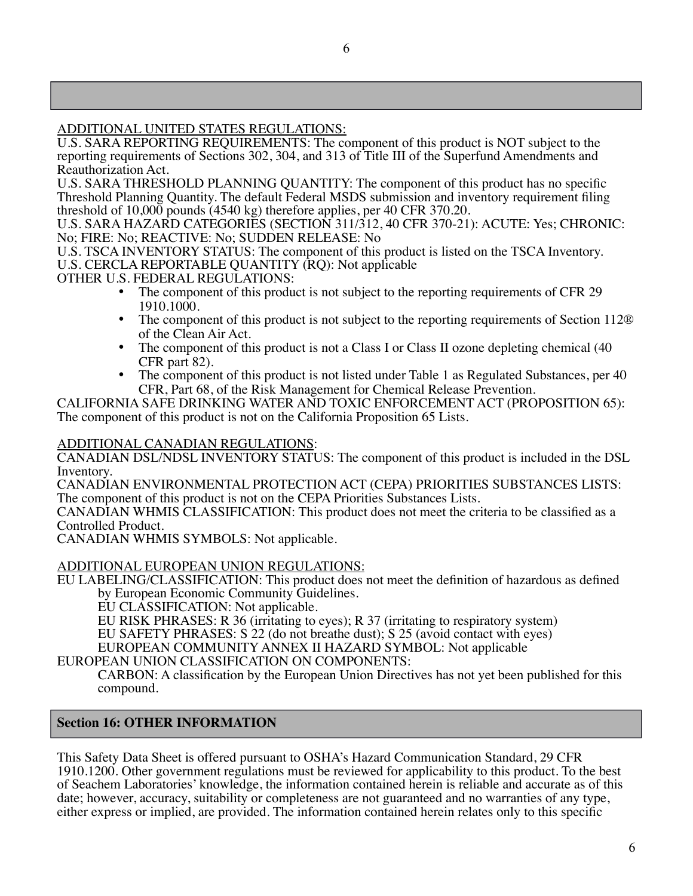# ADDITIONAL UNITED STATES REGULATIONS:

U.S. SARA REPORTING REQUIREMENTS: The component of this product is NOT subject to the reporting requirements of Sections 302, 304, and 313 of Title III of the Superfund Amendments and Reauthorization Act.

U.S. SARA THRESHOLD PLANNING QUANTITY: The component of this product has no specific Threshold Planning Quantity. The default Federal MSDS submission and inventory requirement filing threshold of 10,000 pounds (4540 kg) therefore applies, per 40 CFR 370.20.

U.S. SARA HAZARD CATEGORIES (SECTION 311/312, 40 CFR 370-21): ACUTE: Yes; CHRONIC: No; FIRE: No; REACTIVE: No; SUDDEN RELEASE: No

U.S. TSCA INVENTORY STATUS: The component of this product is listed on the TSCA Inventory. U.S. CERCLA REPORTABLE QUANTITY (RQ): Not applicable

OTHER U.S. FEDERAL REGULATIONS:

- The component of this product is not subject to the reporting requirements of CFR 29 1910.1000.
- The component of this product is not subject to the reporting requirements of Section 112<sup>®</sup> of the Clean Air Act.
- The component of this product is not a Class I or Class II ozone depleting chemical (40 CFR part 82).
- The component of this product is not listed under Table 1 as Regulated Substances, per 40 CFR, Part 68, of the Risk Management for Chemical Release Prevention.

CALIFORNIA SAFE DRINKING WATER AND TOXIC ENFORCEMENT ACT (PROPOSITION 65): The component of this product is not on the California Proposition 65 Lists.

# ADDITIONAL CANADIAN REGULATIONS:

CANADIAN DSL/NDSL INVENTORY STATUS: The component of this product is included in the DSL Inventory.

CANADIAN ENVIRONMENTAL PROTECTION ACT (CEPA) PRIORITIES SUBSTANCES LISTS: The component of this product is not on the CEPA Priorities Substances Lists.

CANADIAN WHMIS CLASSIFICATION: This product does not meet the criteria to be classified as a Controlled Product.

CANADIAN WHMIS SYMBOLS: Not applicable.

# ADDITIONAL EUROPEAN UNION REGULATIONS:

EU LABELING/CLASSIFICATION: This product does not meet the definition of hazardous as defined by European Economic Community Guidelines.

EU CLASSIFICATION: Not applicable.

EU RISK PHRASES: R 36 (irritating to eyes); R 37 (irritating to respiratory system)

EU SAFETY PHRASES: S 22 (do not breathe dust); S 25 (avoid contact with eyes)

EUROPEAN COMMUNITY ANNEX II HAZARD SYMBOL: Not applicable

EUROPEAN UNION CLASSIFICATION ON COMPONENTS:

CARBON: A classification by the European Union Directives has not yet been published for this compound.

# **Section 16: OTHER INFORMATION**

This Safety Data Sheet is offered pursuant to OSHA's Hazard Communication Standard, 29 CFR 1910.1200. Other government regulations must be reviewed for applicability to this product. To the best of Seachem Laboratories' knowledge, the information contained herein is reliable and accurate as of this date; however, accuracy, suitability or completeness are not guaranteed and no warranties of any type, either express or implied, are provided. The information contained herein relates only to this specific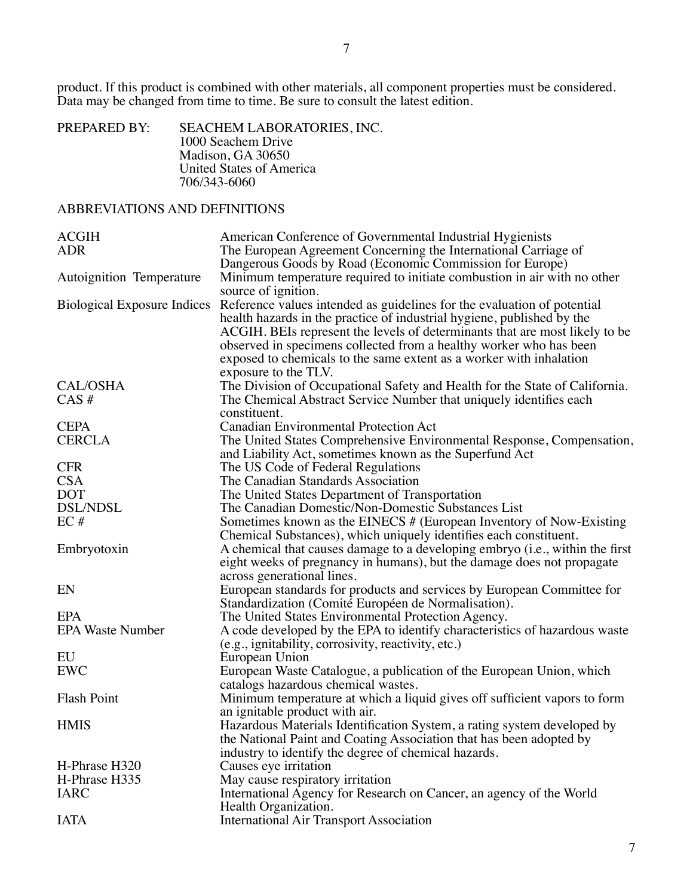product. If this product is combined with other materials, all component properties must be considered. Data may be changed from time to time. Be sure to consult the latest edition.

| PREPARED BY: | <b>SEACHEM LABORATORIES, INC.</b> |
|--------------|-----------------------------------|
|              | 1000 Seachem Drive                |
|              | Madison, GA 30650                 |
|              | United States of America          |
|              | 706/343-6060                      |

# ABBREVIATIONS AND DEFINITIONS

| <b>ACGIH</b>                       | American Conference of Governmental Industrial Hygienists                    |
|------------------------------------|------------------------------------------------------------------------------|
| <b>ADR</b>                         | The European Agreement Concerning the International Carriage of              |
|                                    | Dangerous Goods by Road (Economic Commission for Europe)                     |
| Autoignition Temperature           | Minimum temperature required to initiate combustion in air with no other     |
|                                    | source of ignition.                                                          |
| <b>Biological Exposure Indices</b> | Reference values intended as guidelines for the evaluation of potential      |
|                                    | health hazards in the practice of industrial hygiene, published by the       |
|                                    | ACGIH. BEIs represent the levels of determinants that are most likely to be  |
|                                    | observed in specimens collected from a healthy worker who has been           |
|                                    | exposed to chemicals to the same extent as a worker with inhalation          |
|                                    | exposure to the TLV.                                                         |
| <b>CAL/OSHA</b>                    | The Division of Occupational Safety and Health for the State of California.  |
| $CAS \#$                           | The Chemical Abstract Service Number that uniquely identifies each           |
|                                    | constituent.                                                                 |
| <b>CEPA</b>                        | Canadian Environmental Protection Act                                        |
| <b>CERCLA</b>                      | The United States Comprehensive Environmental Response, Compensation,        |
|                                    | and Liability Act, sometimes known as the Superfund Act                      |
| <b>CFR</b>                         | The US Code of Federal Regulations                                           |
| <b>CSA</b>                         | The Canadian Standards Association                                           |
| <b>DOT</b>                         | The United States Department of Transportation                               |
| <b>DSL/NDSL</b>                    | The Canadian Domestic/Non-Domestic Substances List                           |
| EC#                                | Sometimes known as the EINECS # (European Inventory of Now-Existing          |
|                                    | Chemical Substances), which uniquely identifies each constituent.            |
| Embryotoxin                        | A chemical that causes damage to a developing embryo (i.e., within the first |
|                                    | eight weeks of pregnancy in humans), but the damage does not propagate       |
|                                    | across generational lines.                                                   |
| EN                                 | European standards for products and services by European Committee for       |
|                                    | Standardization (Comité Européen de Normalisation).                          |
| EPA                                | The United States Environmental Protection Agency.                           |
| <b>EPA Waste Number</b>            | A code developed by the EPA to identify characteristics of hazardous waste   |
|                                    | (e.g., ignitability, corrosivity, reactivity, etc.)                          |
| EU                                 | European Union                                                               |
| <b>EWC</b>                         | European Waste Catalogue, a publication of the European Union, which         |
|                                    | catalogs hazardous chemical wastes.                                          |
| <b>Flash Point</b>                 | Minimum temperature at which a liquid gives off sufficient vapors to form    |
|                                    | an ignitable product with air.                                               |
| <b>HMIS</b>                        | Hazardous Materials Identification System, a rating system developed by      |
|                                    | the National Paint and Coating Association that has been adopted by          |
|                                    | industry to identify the degree of chemical hazards.                         |
| H-Phrase H320                      | Causes eye irritation                                                        |
| H-Phrase H335                      | May cause respiratory irritation                                             |
| <b>IARC</b>                        | International Agency for Research on Cancer, an agency of the World          |
|                                    | Health Organization.                                                         |
| <b>IATA</b>                        | <b>International Air Transport Association</b>                               |